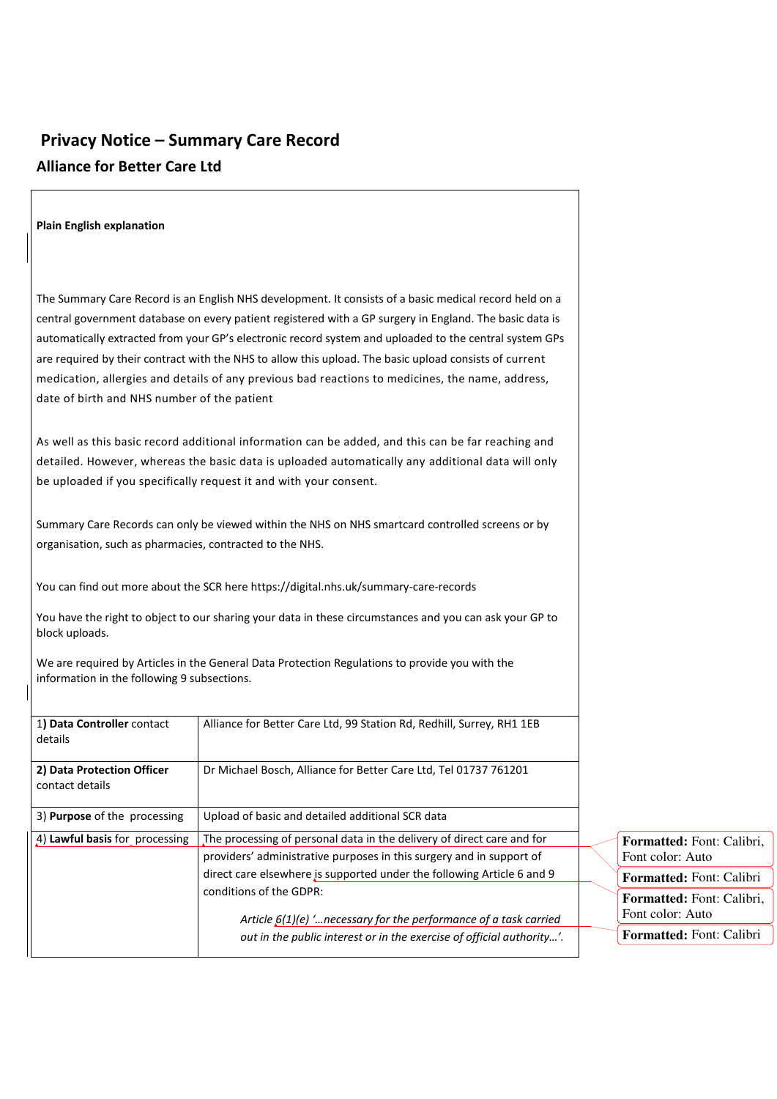## **Privacy Notice – Summary Care Record Alliance for Better Care Ltd**

| <b>Plain English explanation</b>                         |                                                                                                                                                                                                                                                                                                                                                                                                                                                                                                                                           |                                               |
|----------------------------------------------------------|-------------------------------------------------------------------------------------------------------------------------------------------------------------------------------------------------------------------------------------------------------------------------------------------------------------------------------------------------------------------------------------------------------------------------------------------------------------------------------------------------------------------------------------------|-----------------------------------------------|
| date of birth and NHS number of the patient              | The Summary Care Record is an English NHS development. It consists of a basic medical record held on a<br>central government database on every patient registered with a GP surgery in England. The basic data is<br>automatically extracted from your GP's electronic record system and uploaded to the central system GPs<br>are required by their contract with the NHS to allow this upload. The basic upload consists of current<br>medication, allergies and details of any previous bad reactions to medicines, the name, address, |                                               |
|                                                          | As well as this basic record additional information can be added, and this can be far reaching and<br>detailed. However, whereas the basic data is uploaded automatically any additional data will only<br>be uploaded if you specifically request it and with your consent.                                                                                                                                                                                                                                                              |                                               |
| organisation, such as pharmacies, contracted to the NHS. | Summary Care Records can only be viewed within the NHS on NHS smartcard controlled screens or by                                                                                                                                                                                                                                                                                                                                                                                                                                          |                                               |
| block uploads.                                           | You can find out more about the SCR here https://digital.nhs.uk/summary-care-records<br>You have the right to object to our sharing your data in these circumstances and you can ask your GP to                                                                                                                                                                                                                                                                                                                                           |                                               |
| information in the following 9 subsections.              | We are required by Articles in the General Data Protection Regulations to provide you with the                                                                                                                                                                                                                                                                                                                                                                                                                                            |                                               |
| 1) Data Controller contact<br>details                    | Alliance for Better Care Ltd, 99 Station Rd, Redhill, Surrey, RH1 1EB                                                                                                                                                                                                                                                                                                                                                                                                                                                                     |                                               |
| 2) Data Protection Officer<br>contact details            | Dr Michael Bosch, Alliance for Better Care Ltd, Tel 01737 761201                                                                                                                                                                                                                                                                                                                                                                                                                                                                          |                                               |
| 3) Purpose of the processing                             | Upload of basic and detailed additional SCR data                                                                                                                                                                                                                                                                                                                                                                                                                                                                                          |                                               |
| 4) Lawful basis for processing                           | The processing of personal data in the delivery of direct care and for<br>providers' administrative purposes in this surgery and in support of                                                                                                                                                                                                                                                                                                                                                                                            | Formatted: Font: Calibri,<br>Font color: Auto |
|                                                          | direct care elsewhere is supported under the following Article 6 and 9                                                                                                                                                                                                                                                                                                                                                                                                                                                                    | Formatted: Font: Calibri                      |
|                                                          | conditions of the GDPR:                                                                                                                                                                                                                                                                                                                                                                                                                                                                                                                   | Formatted: Font: Calibri,<br>Font color: Auto |
|                                                          | Article $6(1)(e)$ ' necessary for the performance of a task carried                                                                                                                                                                                                                                                                                                                                                                                                                                                                       |                                               |
|                                                          | out in the public interest or in the exercise of official authority'.                                                                                                                                                                                                                                                                                                                                                                                                                                                                     | Formatted: Font: Calibri                      |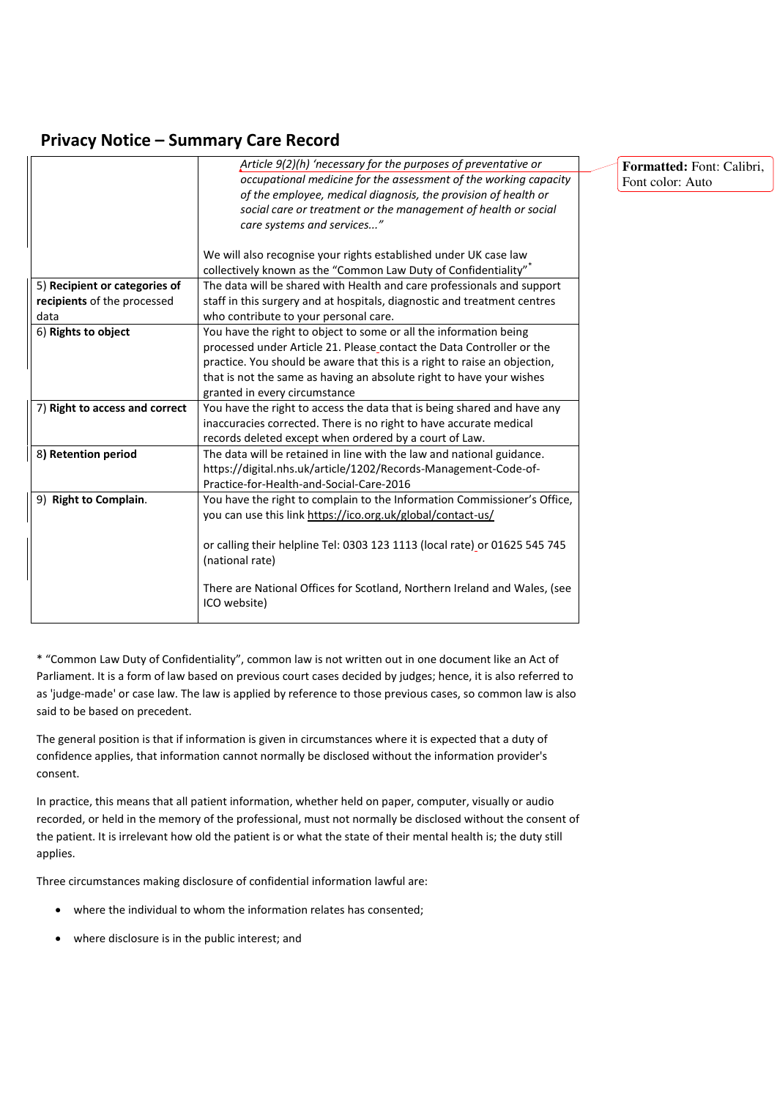## **Privacy Notice – Summary Care Record**

|                                | Article 9(2)(h) 'necessary for the purposes of preventative or             |  |
|--------------------------------|----------------------------------------------------------------------------|--|
|                                | occupational medicine for the assessment of the working capacity           |  |
|                                | of the employee, medical diagnosis, the provision of health or             |  |
|                                | social care or treatment or the management of health or social             |  |
|                                | care systems and services"                                                 |  |
|                                |                                                                            |  |
|                                | We will also recognise your rights established under UK case law           |  |
|                                | collectively known as the "Common Law Duty of Confidentiality"             |  |
| 5) Recipient or categories of  | The data will be shared with Health and care professionals and support     |  |
| recipients of the processed    | staff in this surgery and at hospitals, diagnostic and treatment centres   |  |
| data                           | who contribute to your personal care.                                      |  |
| 6) Rights to object            | You have the right to object to some or all the information being          |  |
|                                | processed under Article 21. Please contact the Data Controller or the      |  |
|                                | practice. You should be aware that this is a right to raise an objection,  |  |
|                                | that is not the same as having an absolute right to have your wishes       |  |
|                                | granted in every circumstance                                              |  |
| 7) Right to access and correct | You have the right to access the data that is being shared and have any    |  |
|                                | inaccuracies corrected. There is no right to have accurate medical         |  |
|                                | records deleted except when ordered by a court of Law.                     |  |
| 8) Retention period            | The data will be retained in line with the law and national guidance.      |  |
|                                | https://digital.nhs.uk/article/1202/Records-Management-Code-of-            |  |
|                                | Practice-for-Health-and-Social-Care-2016                                   |  |
| 9) Right to Complain.          | You have the right to complain to the Information Commissioner's Office,   |  |
|                                | you can use this link https://ico.org.uk/global/contact-us/                |  |
|                                |                                                                            |  |
|                                | or calling their helpline Tel: 0303 123 1113 (local rate) or 01625 545 745 |  |
|                                | (national rate)                                                            |  |
|                                |                                                                            |  |
|                                | There are National Offices for Scotland, Northern Ireland and Wales, (see  |  |
|                                | ICO website)                                                               |  |
|                                |                                                                            |  |

**Formatted:** Font: Calibri, Font color: Auto

\* "Common Law Duty of Confidentiality", common law is not written out in one document like an Act of Parliament. It is a form of law based on previous court cases decided by judges; hence, it is also referred to as 'judge-made' or case law. The law is applied by reference to those previous cases, so common law is also said to be based on precedent.

The general position is that if information is given in circumstances where it is expected that a duty of confidence applies, that information cannot normally be disclosed without the information provider's consent.

In practice, this means that all patient information, whether held on paper, computer, visually or audio recorded, or held in the memory of the professional, must not normally be disclosed without the consent of the patient. It is irrelevant how old the patient is or what the state of their mental health is; the duty still applies.

Three circumstances making disclosure of confidential information lawful are:

- where the individual to whom the information relates has consented;
- where disclosure is in the public interest; and